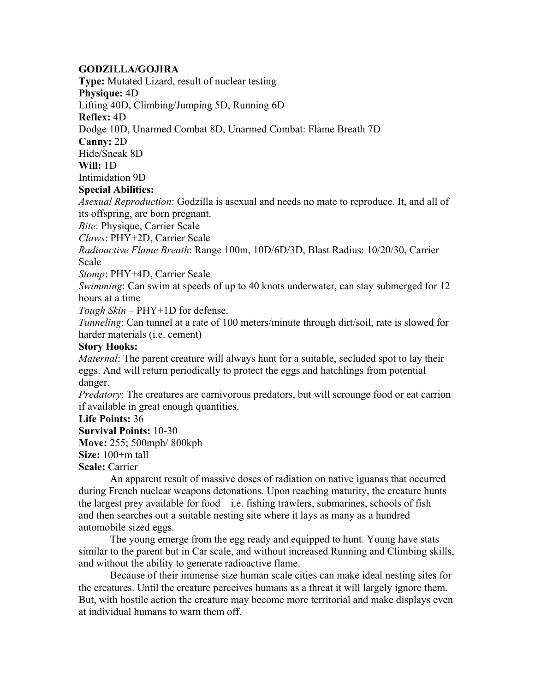## **GODZILLA/GOJIRA**

**Type:** Mutated Lizard, result of nuclear testing

**Physique:** 4D

Lifting 40D, Climbing/Jumping 5D, Running 6D

**Reflex:** 4D

Dodge 10D, Unarmed Combat 8D, Unarmed Combat: Flame Breath 7D

**Canny:** 2D

Hide/Sneak 8D

**Will:** 1D

Intimidation 9D

## **Special Abilities:**

*Asexual Reproduction*: Godzilla is asexual and needs no mate to reproduce. It, and all of its offspring, are born pregnant.

*Bite*: Physique, Carrier Scale

*Claws*: PHY+2D, Carrier Scale

*Radioactive Flame Breath*: Range 100m, 10D/6D/3D, Blast Radius: 10/20/30, Carrier Scale

*Stomp*: PHY+4D, Carrier Scale

*Swimming*: Can swim at speeds of up to 40 knots underwater, can stay submerged for 12 hours at a time

*Tough Skin* – PHY+1D for defense.

*Tunneling*: Can tunnel at a rate of 100 meters/minute through dirt/soil, rate is slowed for harder materials (i.e. cement)

## **Story Hooks:**

*Maternal*: The parent creature will always hunt for a suitable, secluded spot to lay their eggs. And will return periodically to protect the eggs and hatchlings from potential danger.

*Predatory*: The creatures are carnivorous predators, but will scrounge food or eat carrion if available in great enough quantities.

**Life Points:** 36

**Survival Points:** 10-30 **Move:** 255; 500mph/ 800kph

**Size:** 100+m tall

**Scale:** Carrier

 An apparent result of massive doses of radiation on native iguanas that occurred during French nuclear weapons detonations. Upon reaching maturity, the creature hunts the largest prey available for food  $-$  i.e. fishing trawlers, submarines, schools of fish  $$ and then searches out a suitable nesting site where it lays as many as a hundred automobile sized eggs.

 The young emerge from the egg ready and equipped to hunt. Young have stats similar to the parent but in Car scale, and without increased Running and Climbing skills, and without the ability to generate radioactive flame.

 Because of their immense size human scale cities can make ideal nesting sites for the creatures. Until the creature perceives humans as a threat it will largely ignore them. But, with hostile action the creature may become more territorial and make displays even at individual humans to warn them off.